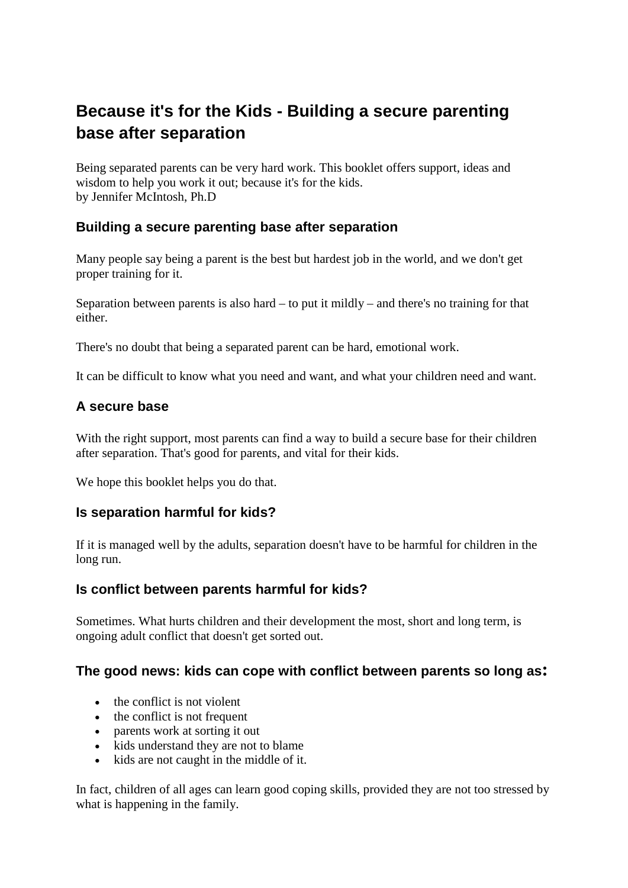# **Because it's for the Kids - Building a secure parenting base after separation**

Being separated parents can be very hard work. This booklet offers support, ideas and wisdom to help you work it out; because it's for the kids. by Jennifer McIntosh, Ph.D

# **Building a secure parenting base after separation**

Many people say being a parent is the best but hardest job in the world, and we don't get proper training for it.

Separation between parents is also hard – to put it mildly – and there's no training for that either.

There's no doubt that being a separated parent can be hard, emotional work.

It can be difficult to know what you need and want, and what your children need and want.

# **A secure base**

With the right support, most parents can find a way to build a secure base for their children after separation. That's good for parents, and vital for their kids.

We hope this booklet helps you do that.

# **Is separation harmful for kids?**

If it is managed well by the adults, separation doesn't have to be harmful for children in the long run.

# **Is conflict between parents harmful for kids?**

Sometimes. What hurts children and their development the most, short and long term, is ongoing adult conflict that doesn't get sorted out.

# **The good news: kids can cope with conflict between parents so long as:**

- the conflict is not violent
- the conflict is not frequent
- parents work at sorting it out
- kids understand they are not to blame
- kids are not caught in the middle of it.

In fact, children of all ages can learn good coping skills, provided they are not too stressed by what is happening in the family.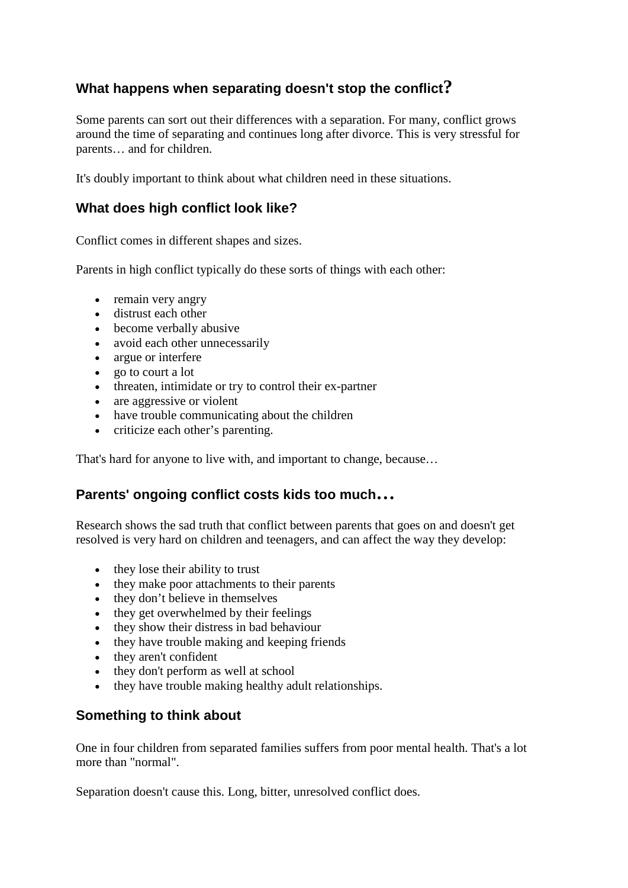# **What happens when separating doesn't stop the conflict?**

Some parents can sort out their differences with a separation. For many, conflict grows around the time of separating and continues long after divorce. This is very stressful for parents… and for children.

It's doubly important to think about what children need in these situations.

# **What does high conflict look like?**

Conflict comes in different shapes and sizes.

Parents in high conflict typically do these sorts of things with each other:

- remain very angry
- distrust each other
- become verbally abusive
- avoid each other unnecessarily
- argue or interfere
- go to court a lot
- threaten, intimidate or try to control their ex-partner
- are aggressive or violent
- have trouble communicating about the children
- criticize each other's parenting.

That's hard for anyone to live with, and important to change, because…

# **Parents' ongoing conflict costs kids too much…**

Research shows the sad truth that conflict between parents that goes on and doesn't get resolved is very hard on children and teenagers, and can affect the way they develop:

- they lose their ability to trust
- they make poor attachments to their parents
- they don't believe in themselves
- they get overwhelmed by their feelings
- they show their distress in bad behaviour
- they have trouble making and keeping friends
- they aren't confident
- they don't perform as well at school
- they have trouble making healthy adult relationships.

# **Something to think about**

One in four children from separated families suffers from poor mental health. That's a lot more than "normal".

Separation doesn't cause this. Long, bitter, unresolved conflict does.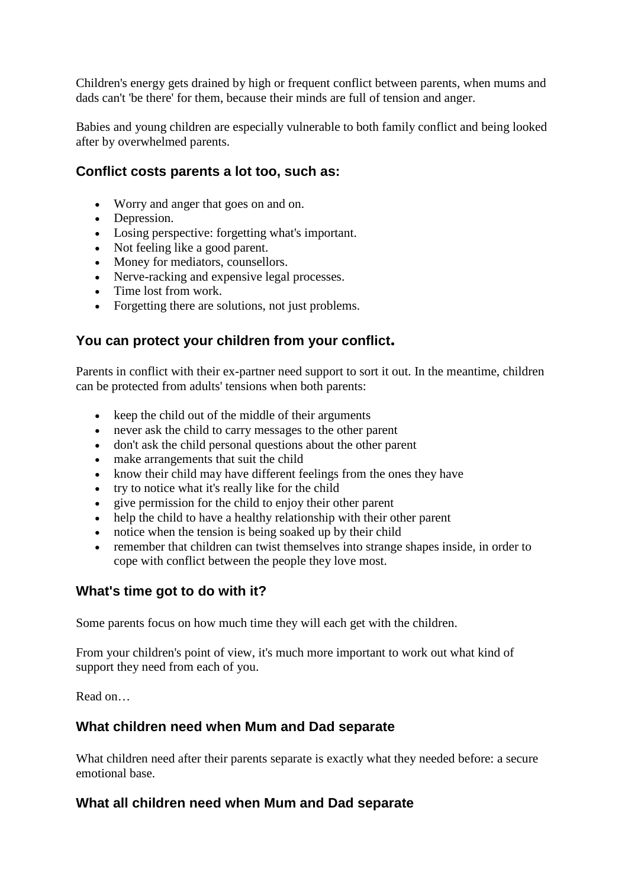Children's energy gets drained by high or frequent conflict between parents, when mums and dads can't 'be there' for them, because their minds are full of tension and anger.

Babies and young children are especially vulnerable to both family conflict and being looked after by overwhelmed parents.

# **Conflict costs parents a lot too, such as:**

- Worry and anger that goes on and on.
- Depression.
- Losing perspective: forgetting what's important.
- Not feeling like a good parent.
- Money for mediators, counsellors.
- Nerve-racking and expensive legal processes.
- Time lost from work.
- Forgetting there are solutions, not just problems.

# **You can protect your children from your conflict.**

Parents in conflict with their ex-partner need support to sort it out. In the meantime, children can be protected from adults' tensions when both parents:

- keep the child out of the middle of their arguments
- never ask the child to carry messages to the other parent
- don't ask the child personal questions about the other parent
- make arrangements that suit the child
- know their child may have different feelings from the ones they have
- try to notice what it's really like for the child
- give permission for the child to enjoy their other parent
- help the child to have a healthy relationship with their other parent
- notice when the tension is being soaked up by their child
- remember that children can twist themselves into strange shapes inside, in order to cope with conflict between the people they love most.

# **What's time got to do with it?**

Some parents focus on how much time they will each get with the children.

From your children's point of view, it's much more important to work out what kind of support they need from each of you.

Read on…

# **What children need when Mum and Dad separate**

What children need after their parents separate is exactly what they needed before: a secure emotional base.

# **What all children need when Mum and Dad separate**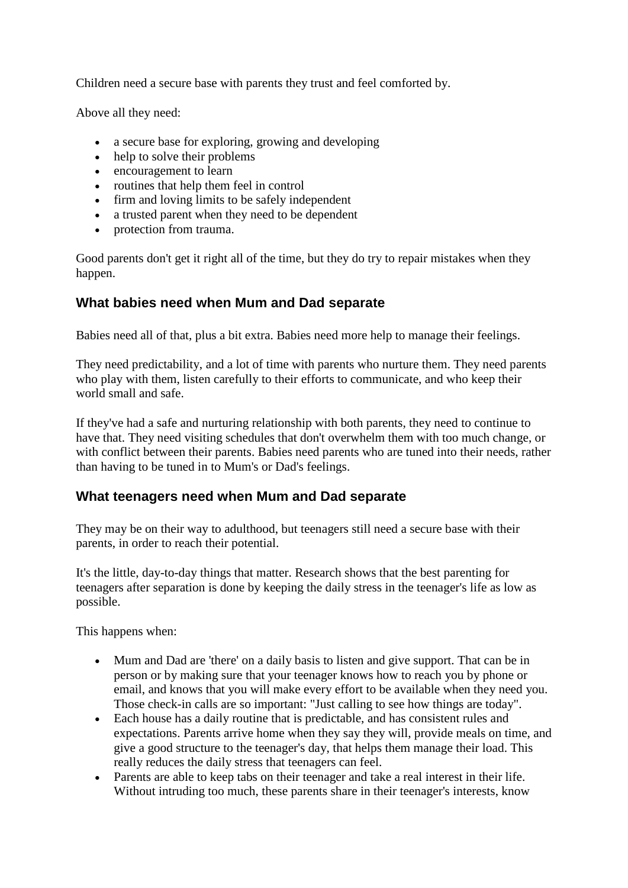Children need a secure base with parents they trust and feel comforted by.

Above all they need:

- a secure base for exploring, growing and developing
- help to solve their problems
- encouragement to learn
- routines that help them feel in control
- firm and loving limits to be safely independent
- a trusted parent when they need to be dependent
- protection from trauma.

Good parents don't get it right all of the time, but they do try to repair mistakes when they happen.

# **What babies need when Mum and Dad separate**

Babies need all of that, plus a bit extra. Babies need more help to manage their feelings.

They need predictability, and a lot of time with parents who nurture them. They need parents who play with them, listen carefully to their efforts to communicate, and who keep their world small and safe.

If they've had a safe and nurturing relationship with both parents, they need to continue to have that. They need visiting schedules that don't overwhelm them with too much change, or with conflict between their parents. Babies need parents who are tuned into their needs, rather than having to be tuned in to Mum's or Dad's feelings.

# **What teenagers need when Mum and Dad separate**

They may be on their way to adulthood, but teenagers still need a secure base with their parents, in order to reach their potential.

It's the little, day-to-day things that matter. Research shows that the best parenting for teenagers after separation is done by keeping the daily stress in the teenager's life as low as possible.

This happens when:

- Mum and Dad are 'there' on a daily basis to listen and give support. That can be in person or by making sure that your teenager knows how to reach you by phone or email, and knows that you will make every effort to be available when they need you. Those check-in calls are so important: "Just calling to see how things are today".
- Each house has a daily routine that is predictable, and has consistent rules and expectations. Parents arrive home when they say they will, provide meals on time, and give a good structure to the teenager's day, that helps them manage their load. This really reduces the daily stress that teenagers can feel.
- Parents are able to keep tabs on their teenager and take a real interest in their life. Without intruding too much, these parents share in their teenager's interests, know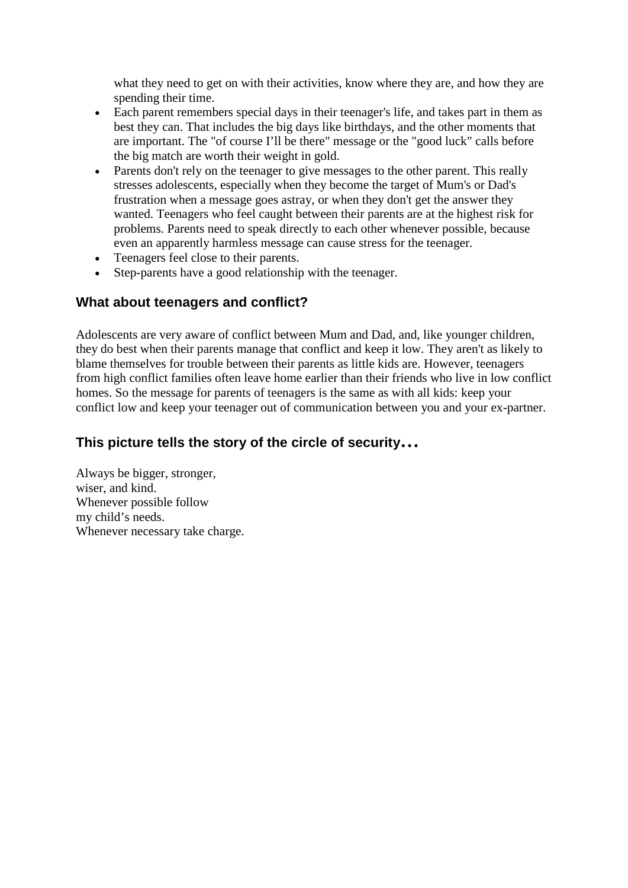what they need to get on with their activities, know where they are, and how they are spending their time.

- Each parent remembers special days in their teenager's life, and takes part in them as best they can. That includes the big days like birthdays, and the other moments that are important. The "of course I'll be there" message or the "good luck" calls before the big match are worth their weight in gold.
- Parents don't rely on the teenager to give messages to the other parent. This really stresses adolescents, especially when they become the target of Mum's or Dad's frustration when a message goes astray, or when they don't get the answer they wanted. Teenagers who feel caught between their parents are at the highest risk for problems. Parents need to speak directly to each other whenever possible, because even an apparently harmless message can cause stress for the teenager.
- Teenagers feel close to their parents.
- Step-parents have a good relationship with the teenager.

# **What about teenagers and conflict?**

Adolescents are very aware of conflict between Mum and Dad, and, like younger children, they do best when their parents manage that conflict and keep it low. They aren't as likely to blame themselves for trouble between their parents as little kids are. However, teenagers from high conflict families often leave home earlier than their friends who live in low conflict homes. So the message for parents of teenagers is the same as with all kids: keep your conflict low and keep your teenager out of communication between you and your ex-partner.

# **This picture tells the story of the circle of security…**

Always be bigger, stronger, wiser, and kind. Whenever possible follow my child's needs. Whenever necessary take charge.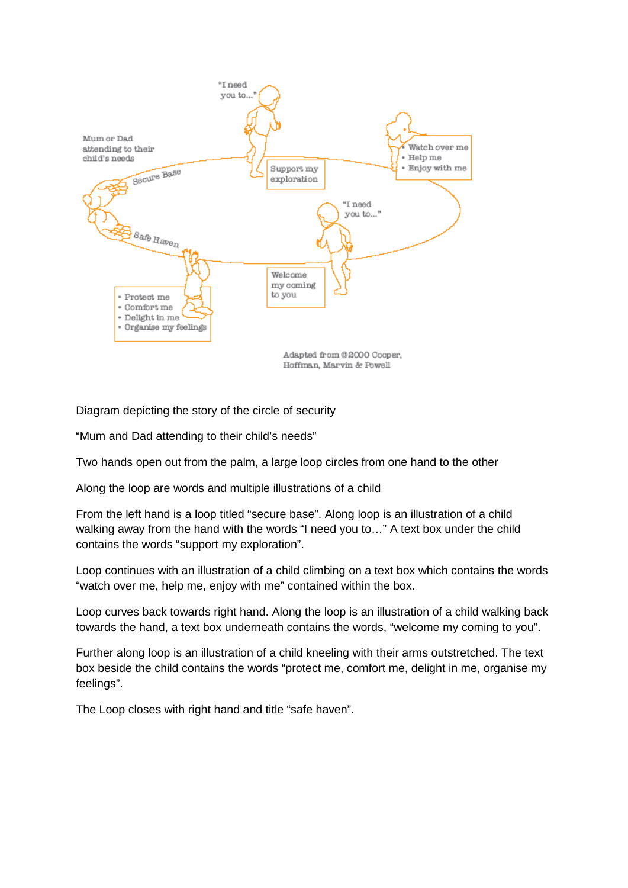

Diagram depicting the story of the circle of security

"Mum and Dad attending to their child's needs"

Two hands open out from the palm, a large loop circles from one hand to the other

Along the loop are words and multiple illustrations of a child

From the left hand is a loop titled "secure base". Along loop is an illustration of a child walking away from the hand with the words "I need you to..." A text box under the child contains the words "support my exploration".

Loop continues with an illustration of a child climbing on a text box which contains the words "watch over me, help me, enjoy with me" contained within the box.

Loop curves back towards right hand. Along the loop is an illustration of a child walking back towards the hand, a text box underneath contains the words, "welcome my coming to you".

Further along loop is an illustration of a child kneeling with their arms outstretched. The text box beside the child contains the words "protect me, comfort me, delight in me, organise my feelings".

The Loop closes with right hand and title "safe haven".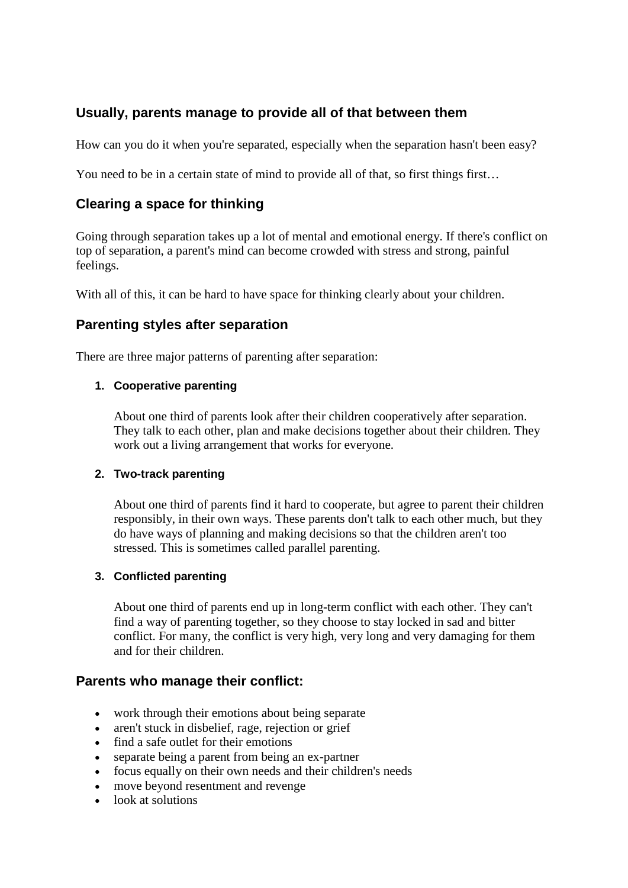# **Usually, parents manage to provide all of that between them**

How can you do it when you're separated, especially when the separation hasn't been easy?

You need to be in a certain state of mind to provide all of that, so first things first...

# **Clearing a space for thinking**

Going through separation takes up a lot of mental and emotional energy. If there's conflict on top of separation, a parent's mind can become crowded with stress and strong, painful feelings.

With all of this, it can be hard to have space for thinking clearly about your children.

# **Parenting styles after separation**

There are three major patterns of parenting after separation:

#### **1. Cooperative parenting**

About one third of parents look after their children cooperatively after separation. They talk to each other, plan and make decisions together about their children. They work out a living arrangement that works for everyone.

#### **2. Two-track parenting**

About one third of parents find it hard to cooperate, but agree to parent their children responsibly, in their own ways. These parents don't talk to each other much, but they do have ways of planning and making decisions so that the children aren't too stressed. This is sometimes called parallel parenting.

#### **3. Conflicted parenting**

About one third of parents end up in long-term conflict with each other. They can't find a way of parenting together, so they choose to stay locked in sad and bitter conflict. For many, the conflict is very high, very long and very damaging for them and for their children.

#### **Parents who manage their conflict:**

- work through their emotions about being separate
- aren't stuck in disbelief, rage, rejection or grief
- find a safe outlet for their emotions
- separate being a parent from being an ex-partner
- focus equally on their own needs and their children's needs
- move beyond resentment and revenge
- look at solutions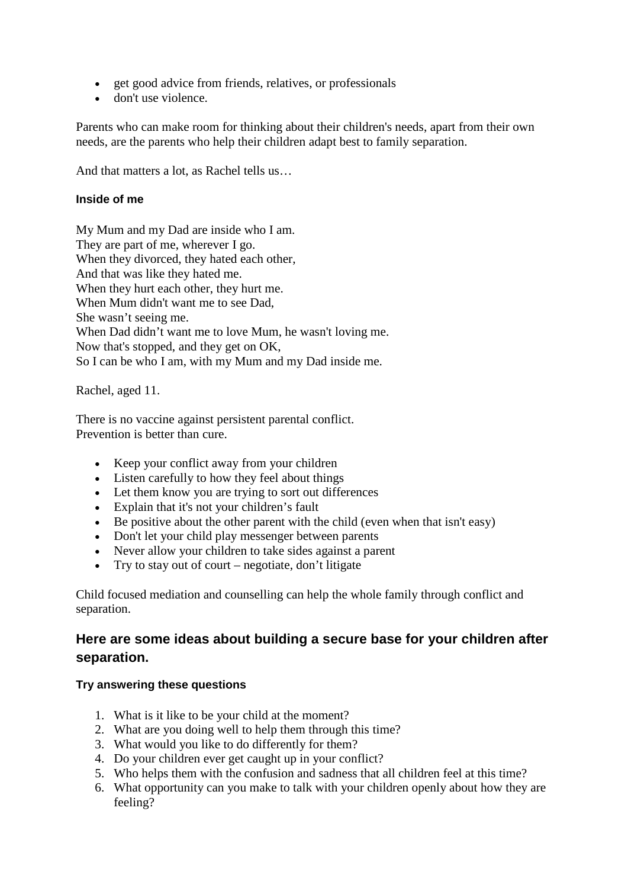- get good advice from friends, relatives, or professionals
- don't use violence.

Parents who can make room for thinking about their children's needs, apart from their own needs, are the parents who help their children adapt best to family separation.

And that matters a lot, as Rachel tells us…

#### **Inside of me**

My Mum and my Dad are inside who I am. They are part of me, wherever I go. When they divorced, they hated each other, And that was like they hated me. When they hurt each other, they hurt me. When Mum didn't want me to see Dad, She wasn't seeing me. When Dad didn't want me to love Mum, he wasn't loving me. Now that's stopped, and they get on OK, So I can be who I am, with my Mum and my Dad inside me.

Rachel, aged 11.

There is no vaccine against persistent parental conflict. Prevention is better than cure.

- Keep your conflict away from your children
- Listen carefully to how they feel about things
- Let them know you are trying to sort out differences
- Explain that it's not your children's fault
- Be positive about the other parent with the child (even when that isn't easy)
- Don't let your child play messenger between parents
- Never allow your children to take sides against a parent
- Try to stay out of court negotiate, don't litigate

Child focused mediation and counselling can help the whole family through conflict and separation.

# **Here are some ideas about building a secure base for your children after separation.**

#### **Try answering these questions**

- 1. What is it like to be your child at the moment?
- 2. What are you doing well to help them through this time?
- 3. What would you like to do differently for them?
- 4. Do your children ever get caught up in your conflict?
- 5. Who helps them with the confusion and sadness that all children feel at this time?
- 6. What opportunity can you make to talk with your children openly about how they are feeling?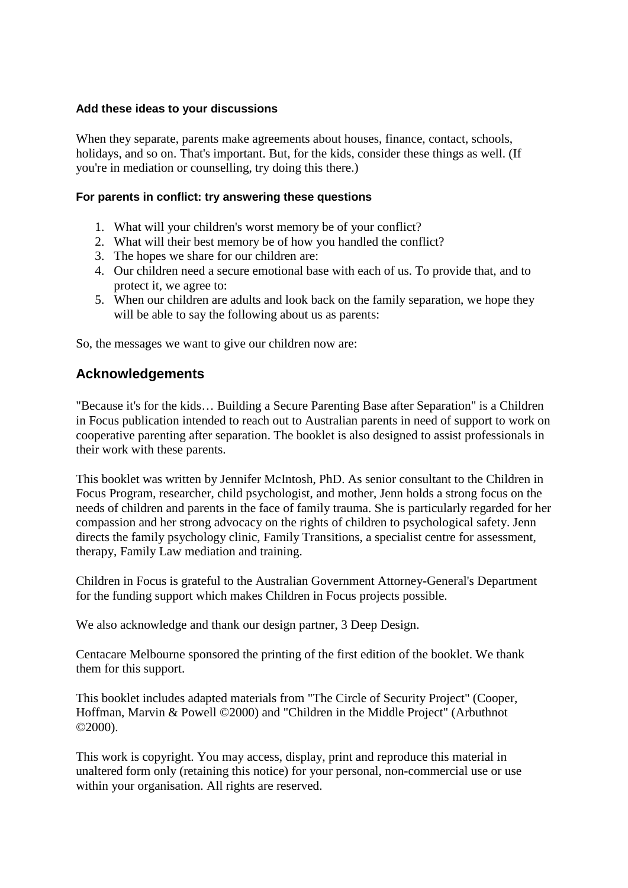#### **Add these ideas to your discussions**

When they separate, parents make agreements about houses, finance, contact, schools, holidays, and so on. That's important. But, for the kids, consider these things as well. (If you're in mediation or counselling, try doing this there.)

#### **For parents in conflict: try answering these questions**

- 1. What will your children's worst memory be of your conflict?
- 2. What will their best memory be of how you handled the conflict?
- 3. The hopes we share for our children are:
- 4. Our children need a secure emotional base with each of us. To provide that, and to protect it, we agree to:
- 5. When our children are adults and look back on the family separation, we hope they will be able to say the following about us as parents:

So, the messages we want to give our children now are:

# **Acknowledgements**

"Because it's for the kids… Building a Secure Parenting Base after Separation" is a Children in Focus publication intended to reach out to Australian parents in need of support to work on cooperative parenting after separation. The booklet is also designed to assist professionals in their work with these parents.

This booklet was written by Jennifer McIntosh, PhD. As senior consultant to the Children in Focus Program, researcher, child psychologist, and mother, Jenn holds a strong focus on the needs of children and parents in the face of family trauma. She is particularly regarded for her compassion and her strong advocacy on the rights of children to psychological safety. Jenn directs the family psychology clinic, Family Transitions, a specialist centre for assessment, therapy, Family Law mediation and training.

Children in Focus is grateful to the Australian Government Attorney-General's Department for the funding support which makes Children in Focus projects possible.

We also acknowledge and thank our design partner, 3 Deep Design.

Centacare Melbourne sponsored the printing of the first edition of the booklet. We thank them for this support.

This booklet includes adapted materials from "The Circle of Security Project" (Cooper, Hoffman, Marvin & Powell ©2000) and "Children in the Middle Project" (Arbuthnot ©2000).

This work is copyright. You may access, display, print and reproduce this material in unaltered form only (retaining this notice) for your personal, non-commercial use or use within your organisation. All rights are reserved.